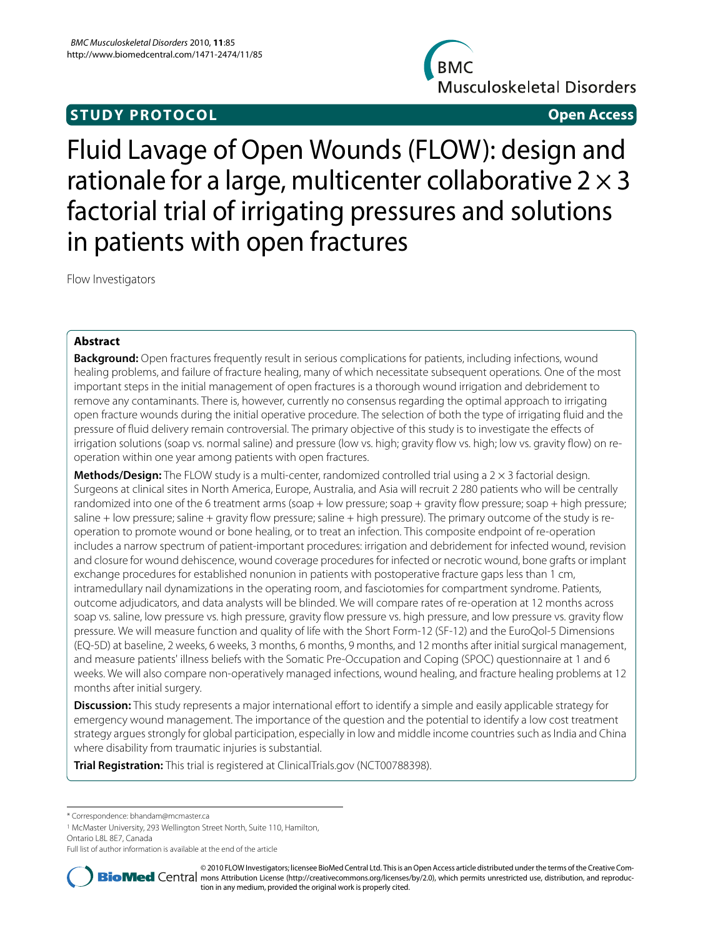# **STUDY PROTOCOL Open Access**



Fluid Lavage of Open Wounds (FLOW): design and rationale for a large, multicenter collaborative  $2 \times 3$ factorial trial of irrigating pressures and solutions in patients with open fractures

Flow Investigators

## **Abstract**

**Background:** Open fractures frequently result in serious complications for patients, including infections, wound healing problems, and failure of fracture healing, many of which necessitate subsequent operations. One of the most important steps in the initial management of open fractures is a thorough wound irrigation and debridement to remove any contaminants. There is, however, currently no consensus regarding the optimal approach to irrigating open fracture wounds during the initial operative procedure. The selection of both the type of irrigating fluid and the pressure of fluid delivery remain controversial. The primary objective of this study is to investigate the effects of irrigation solutions (soap vs. normal saline) and pressure (low vs. high; gravity flow vs. high; low vs. gravity flow) on reoperation within one year among patients with open fractures.

**Methods/Design:** The FLOW study is a multi-center, randomized controlled trial using a 2 × 3 factorial design. Surgeons at clinical sites in North America, Europe, Australia, and Asia will recruit 2 280 patients who will be centrally randomized into one of the 6 treatment arms (soap + low pressure; soap + gravity flow pressure; soap + high pressure; saline + low pressure; saline + gravity flow pressure; saline + high pressure). The primary outcome of the study is reoperation to promote wound or bone healing, or to treat an infection. This composite endpoint of re-operation includes a narrow spectrum of patient-important procedures: irrigation and debridement for infected wound, revision and closure for wound dehiscence, wound coverage procedures for infected or necrotic wound, bone grafts or implant exchange procedures for established nonunion in patients with postoperative fracture gaps less than 1 cm, intramedullary nail dynamizations in the operating room, and fasciotomies for compartment syndrome. Patients, outcome adjudicators, and data analysts will be blinded. We will compare rates of re-operation at 12 months across soap vs. saline, low pressure vs. high pressure, gravity flow pressure vs. high pressure, and low pressure vs. gravity flow pressure. We will measure function and quality of life with the Short Form-12 (SF-12) and the EuroQol-5 Dimensions (EQ-5D) at baseline, 2 weeks, 6 weeks, 3 months, 6 months, 9 months, and 12 months after initial surgical management, and measure patients' illness beliefs with the Somatic Pre-Occupation and Coping (SPOC) questionnaire at 1 and 6 weeks. We will also compare non-operatively managed infections, wound healing, and fracture healing problems at 12 months after initial surgery.

**Discussion:** This study represents a major international effort to identify a simple and easily applicable strategy for emergency wound management. The importance of the question and the potential to identify a low cost treatment strategy argues strongly for global participation, especially in low and middle income countries such as India and China where disability from traumatic injuries is substantial.

**Trial Registration:** This trial is registered at ClinicalTrials.gov (NCT00788398).

Ontario L8L 8E7, Canada

Full list of author information is available at the end of the article



© 2010 FLOW Investigators; licensee BioMed Central Ltd. This is an Open Access article distributed under the terms of the Creative Com-Bio Med Central mons Attribution License (http://creativecommons.org/licenses/by/2.0), which permits unrestricted use, distribution, and reproduction in any medium, provided the original work is properly cited.

<sup>\*</sup> Correspondence: bhandam@mcmaster.ca

<sup>1</sup> McMaster University, 293 Wellington Street North, Suite 110, Hamilton,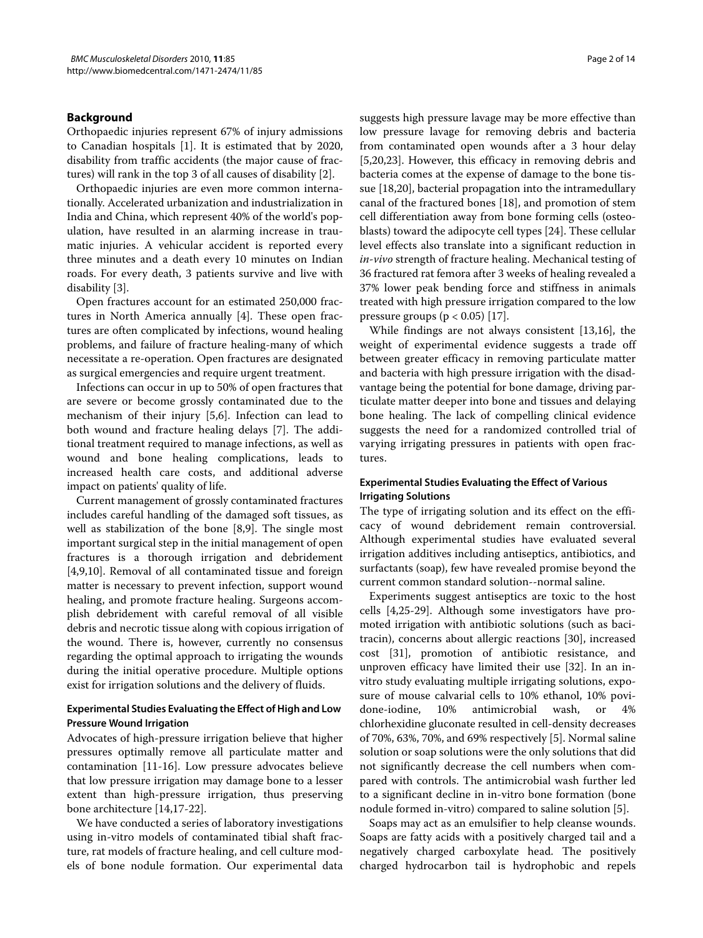## **Background**

Orthopaedic injuries represent 67% of injury admissions to Canadian hospitals [[1\]](#page-12-0). It is estimated that by 2020, disability from traffic accidents (the major cause of fractures) will rank in the top 3 of all causes of disability [\[2](#page-12-1)].

Orthopaedic injuries are even more common internationally. Accelerated urbanization and industrialization in India and China, which represent 40% of the world's population, have resulted in an alarming increase in traumatic injuries. A vehicular accident is reported every three minutes and a death every 10 minutes on Indian roads. For every death, 3 patients survive and live with disability [[3\]](#page-12-2).

Open fractures account for an estimated 250,000 fractures in North America annually [[4\]](#page-12-3). These open fractures are often complicated by infections, wound healing problems, and failure of fracture healing-many of which necessitate a re-operation. Open fractures are designated as surgical emergencies and require urgent treatment.

Infections can occur in up to 50% of open fractures that are severe or become grossly contaminated due to the mechanism of their injury [[5,](#page-12-4)[6\]](#page-12-5). Infection can lead to both wound and fracture healing delays [\[7](#page-12-6)]. The additional treatment required to manage infections, as well as wound and bone healing complications, leads to increased health care costs, and additional adverse impact on patients' quality of life.

Current management of grossly contaminated fractures includes careful handling of the damaged soft tissues, as well as stabilization of the bone [\[8](#page-12-7),[9\]](#page-12-8). The single most important surgical step in the initial management of open fractures is a thorough irrigation and debridement [[4,](#page-12-3)[9](#page-12-8)[,10\]](#page-12-9). Removal of all contaminated tissue and foreign matter is necessary to prevent infection, support wound healing, and promote fracture healing. Surgeons accomplish debridement with careful removal of all visible debris and necrotic tissue along with copious irrigation of the wound. There is, however, currently no consensus regarding the optimal approach to irrigating the wounds during the initial operative procedure. Multiple options exist for irrigation solutions and the delivery of fluids.

## **Experimental Studies Evaluating the Effect of High and Low Pressure Wound Irrigation**

Advocates of high-pressure irrigation believe that higher pressures optimally remove all particulate matter and contamination [[11](#page-12-10)[-16](#page-12-11)]. Low pressure advocates believe that low pressure irrigation may damage bone to a lesser extent than high-pressure irrigation, thus preserving bone architecture [\[14](#page-12-12)[,17](#page-12-13)-[22\]](#page-12-14).

We have conducted a series of laboratory investigations using in-vitro models of contaminated tibial shaft fracture, rat models of fracture healing, and cell culture models of bone nodule formation. Our experimental data

suggests high pressure lavage may be more effective than low pressure lavage for removing debris and bacteria from contaminated open wounds after a 3 hour delay [[5,](#page-12-4)[20](#page-12-15)[,23\]](#page-12-16). However, this efficacy in removing debris and bacteria comes at the expense of damage to the bone tissue [[18,](#page-12-17)[20\]](#page-12-15), bacterial propagation into the intramedullary canal of the fractured bones [[18\]](#page-12-17), and promotion of stem cell differentiation away from bone forming cells (osteoblasts) toward the adipocyte cell types [\[24](#page-12-18)]. These cellular level effects also translate into a significant reduction in *in-vivo* strength of fracture healing. Mechanical testing of 36 fractured rat femora after 3 weeks of healing revealed a 37% lower peak bending force and stiffness in animals treated with high pressure irrigation compared to the low pressure groups ( $p < 0.05$ ) [\[17\]](#page-12-13).

While findings are not always consistent [[13,](#page-12-19)[16\]](#page-12-11), the weight of experimental evidence suggests a trade off between greater efficacy in removing particulate matter and bacteria with high pressure irrigation with the disadvantage being the potential for bone damage, driving particulate matter deeper into bone and tissues and delaying bone healing. The lack of compelling clinical evidence suggests the need for a randomized controlled trial of varying irrigating pressures in patients with open fractures.

## **Experimental Studies Evaluating the Effect of Various Irrigating Solutions**

The type of irrigating solution and its effect on the efficacy of wound debridement remain controversial. Although experimental studies have evaluated several irrigation additives including antiseptics, antibiotics, and surfactants (soap), few have revealed promise beyond the current common standard solution--normal saline.

Experiments suggest antiseptics are toxic to the host cells [\[4](#page-12-3),[25](#page-12-20)[-29\]](#page-12-21). Although some investigators have promoted irrigation with antibiotic solutions (such as bacitracin), concerns about allergic reactions [[30\]](#page-13-0), increased cost [[31\]](#page-13-1), promotion of antibiotic resistance, and unproven efficacy have limited their use [[32\]](#page-13-2). In an invitro study evaluating multiple irrigating solutions, exposure of mouse calvarial cells to 10% ethanol, 10% povidone-iodine, 10% antimicrobial wash, or 4% chlorhexidine gluconate resulted in cell-density decreases of 70%, 63%, 70%, and 69% respectively [[5\]](#page-12-4). Normal saline solution or soap solutions were the only solutions that did not significantly decrease the cell numbers when compared with controls. The antimicrobial wash further led to a significant decline in in-vitro bone formation (bone nodule formed in-vitro) compared to saline solution [[5\]](#page-12-4).

Soaps may act as an emulsifier to help cleanse wounds. Soaps are fatty acids with a positively charged tail and a negatively charged carboxylate head. The positively charged hydrocarbon tail is hydrophobic and repels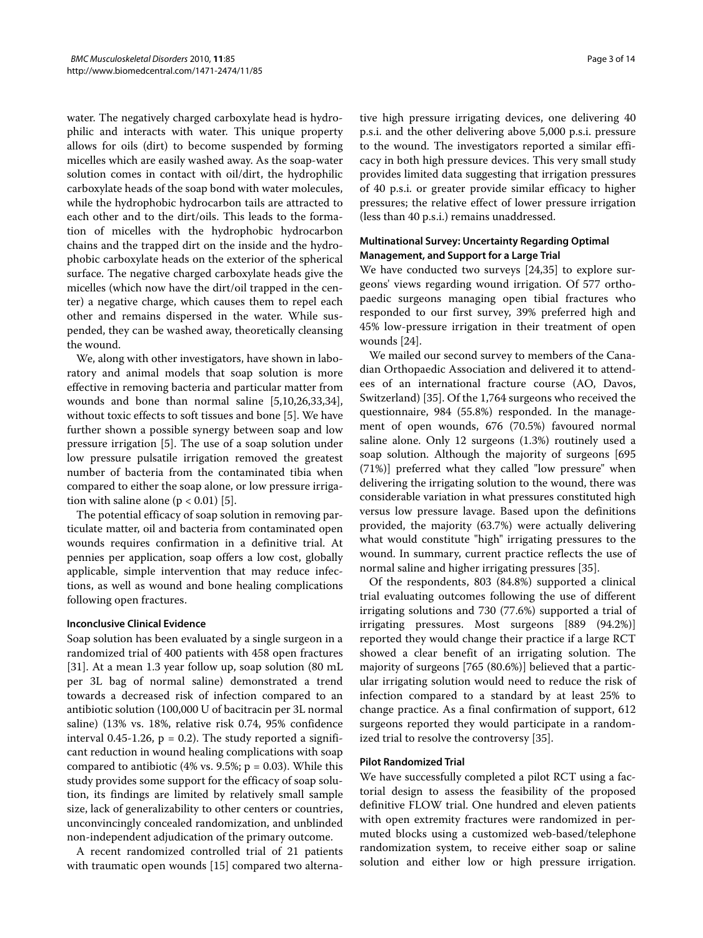water. The negatively charged carboxylate head is hydrophilic and interacts with water. This unique property allows for oils (dirt) to become suspended by forming micelles which are easily washed away. As the soap-water solution comes in contact with oil/dirt, the hydrophilic carboxylate heads of the soap bond with water molecules, while the hydrophobic hydrocarbon tails are attracted to each other and to the dirt/oils. This leads to the formation of micelles with the hydrophobic hydrocarbon chains and the trapped dirt on the inside and the hydrophobic carboxylate heads on the exterior of the spherical surface. The negative charged carboxylate heads give the micelles (which now have the dirt/oil trapped in the center) a negative charge, which causes them to repel each other and remains dispersed in the water. While suspended, they can be washed away, theoretically cleansing the wound.

We, along with other investigators, have shown in laboratory and animal models that soap solution is more effective in removing bacteria and particular matter from wounds and bone than normal saline [[5,](#page-12-4)[10,](#page-12-9)[26](#page-12-22)[,33](#page-13-3)[,34](#page-13-4)], without toxic effects to soft tissues and bone [\[5](#page-12-4)]. We have further shown a possible synergy between soap and low pressure irrigation [\[5](#page-12-4)]. The use of a soap solution under low pressure pulsatile irrigation removed the greatest number of bacteria from the contaminated tibia when compared to either the soap alone, or low pressure irrigation with saline alone  $(p < 0.01)$  [\[5](#page-12-4)].

The potential efficacy of soap solution in removing particulate matter, oil and bacteria from contaminated open wounds requires confirmation in a definitive trial. At pennies per application, soap offers a low cost, globally applicable, simple intervention that may reduce infections, as well as wound and bone healing complications following open fractures.

#### **Inconclusive Clinical Evidence**

Soap solution has been evaluated by a single surgeon in a randomized trial of 400 patients with 458 open fractures [[31\]](#page-13-1). At a mean 1.3 year follow up, soap solution (80 mL per 3L bag of normal saline) demonstrated a trend towards a decreased risk of infection compared to an antibiotic solution (100,000 U of bacitracin per 3L normal saline) (13% vs. 18%, relative risk 0.74, 95% confidence interval 0.45-1.26,  $p = 0.2$ ). The study reported a significant reduction in wound healing complications with soap compared to antibiotic (4% vs. 9.5%;  $p = 0.03$ ). While this study provides some support for the efficacy of soap solution, its findings are limited by relatively small sample size, lack of generalizability to other centers or countries, unconvincingly concealed randomization, and unblinded non-independent adjudication of the primary outcome.

A recent randomized controlled trial of 21 patients with traumatic open wounds [[15\]](#page-12-23) compared two alterna-

tive high pressure irrigating devices, one delivering 40 p.s.i. and the other delivering above 5,000 p.s.i. pressure to the wound. The investigators reported a similar efficacy in both high pressure devices. This very small study provides limited data suggesting that irrigation pressures of 40 p.s.i. or greater provide similar efficacy to higher pressures; the relative effect of lower pressure irrigation (less than 40 p.s.i.) remains unaddressed.

## **Multinational Survey: Uncertainty Regarding Optimal Management, and Support for a Large Trial**

We have conducted two surveys [[24,](#page-12-18)[35\]](#page-13-5) to explore surgeons' views regarding wound irrigation. Of 577 orthopaedic surgeons managing open tibial fractures who responded to our first survey, 39% preferred high and 45% low-pressure irrigation in their treatment of open wounds [\[24\]](#page-12-18).

We mailed our second survey to members of the Canadian Orthopaedic Association and delivered it to attendees of an international fracture course (AO, Davos, Switzerland) [\[35](#page-13-5)]. Of the 1,764 surgeons who received the questionnaire, 984 (55.8%) responded. In the management of open wounds, 676 (70.5%) favoured normal saline alone. Only 12 surgeons (1.3%) routinely used a soap solution. Although the majority of surgeons [695 (71%)] preferred what they called "low pressure" when delivering the irrigating solution to the wound, there was considerable variation in what pressures constituted high versus low pressure lavage. Based upon the definitions provided, the majority (63.7%) were actually delivering what would constitute "high" irrigating pressures to the wound. In summary, current practice reflects the use of normal saline and higher irrigating pressures [[35\]](#page-13-5).

Of the respondents, 803 (84.8%) supported a clinical trial evaluating outcomes following the use of different irrigating solutions and 730 (77.6%) supported a trial of irrigating pressures. Most surgeons [889 (94.2%)] reported they would change their practice if a large RCT showed a clear benefit of an irrigating solution. The majority of surgeons [765 (80.6%)] believed that a particular irrigating solution would need to reduce the risk of infection compared to a standard by at least 25% to change practice. As a final confirmation of support, 612 surgeons reported they would participate in a randomized trial to resolve the controversy [[35\]](#page-13-5).

## **Pilot Randomized Trial**

We have successfully completed a pilot RCT using a factorial design to assess the feasibility of the proposed definitive FLOW trial. One hundred and eleven patients with open extremity fractures were randomized in permuted blocks using a customized web-based/telephone randomization system, to receive either soap or saline solution and either low or high pressure irrigation.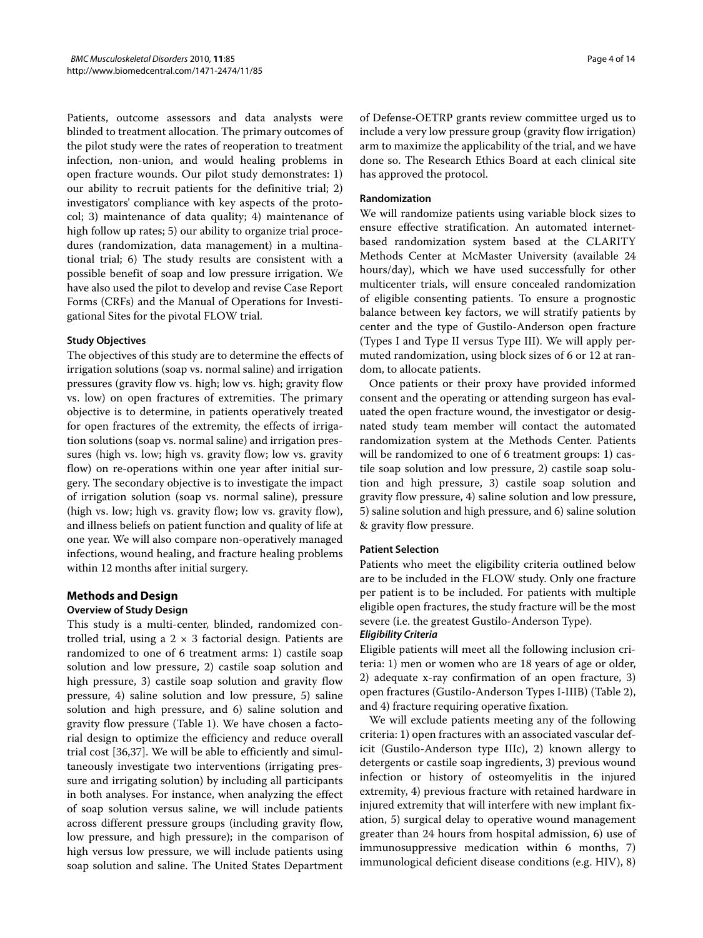Patients, outcome assessors and data analysts were blinded to treatment allocation. The primary outcomes of the pilot study were the rates of reoperation to treatment infection, non-union, and would healing problems in open fracture wounds. Our pilot study demonstrates: 1) our ability to recruit patients for the definitive trial; 2) investigators' compliance with key aspects of the protocol; 3) maintenance of data quality; 4) maintenance of high follow up rates; 5) our ability to organize trial procedures (randomization, data management) in a multinational trial; 6) The study results are consistent with a possible benefit of soap and low pressure irrigation. We have also used the pilot to develop and revise Case Report Forms (CRFs) and the Manual of Operations for Investigational Sites for the pivotal FLOW trial.

## **Study Objectives**

The objectives of this study are to determine the effects of irrigation solutions (soap vs. normal saline) and irrigation pressures (gravity flow vs. high; low vs. high; gravity flow vs. low) on open fractures of extremities. The primary objective is to determine, in patients operatively treated for open fractures of the extremity, the effects of irrigation solutions (soap vs. normal saline) and irrigation pressures (high vs. low; high vs. gravity flow; low vs. gravity flow) on re-operations within one year after initial surgery. The secondary objective is to investigate the impact of irrigation solution (soap vs. normal saline), pressure (high vs. low; high vs. gravity flow; low vs. gravity flow), and illness beliefs on patient function and quality of life at one year. We will also compare non-operatively managed infections, wound healing, and fracture healing problems within 12 months after initial surgery.

## **Methods and Design**

#### **Overview of Study Design**

This study is a multi-center, blinded, randomized controlled trial, using a  $2 \times 3$  factorial design. Patients are randomized to one of 6 treatment arms: 1) castile soap solution and low pressure, 2) castile soap solution and high pressure, 3) castile soap solution and gravity flow pressure, 4) saline solution and low pressure, 5) saline solution and high pressure, and 6) saline solution and gravity flow pressure (Table 1). We have chosen a factorial design to optimize the efficiency and reduce overall trial cost [\[36](#page-13-6)[,37](#page-13-7)]. We will be able to efficiently and simultaneously investigate two interventions (irrigating pressure and irrigating solution) by including all participants in both analyses. For instance, when analyzing the effect of soap solution versus saline, we will include patients across different pressure groups (including gravity flow, low pressure, and high pressure); in the comparison of high versus low pressure, we will include patients using soap solution and saline. The United States Department

of Defense-OETRP grants review committee urged us to include a very low pressure group (gravity flow irrigation) arm to maximize the applicability of the trial, and we have done so. The Research Ethics Board at each clinical site has approved the protocol.

#### **Randomization**

We will randomize patients using variable block sizes to ensure effective stratification. An automated internetbased randomization system based at the CLARITY Methods Center at McMaster University (available 24 hours/day), which we have used successfully for other multicenter trials, will ensure concealed randomization of eligible consenting patients. To ensure a prognostic balance between key factors, we will stratify patients by center and the type of Gustilo-Anderson open fracture (Types I and Type II versus Type III). We will apply permuted randomization, using block sizes of 6 or 12 at random, to allocate patients.

Once patients or their proxy have provided informed consent and the operating or attending surgeon has evaluated the open fracture wound, the investigator or designated study team member will contact the automated randomization system at the Methods Center. Patients will be randomized to one of 6 treatment groups: 1) castile soap solution and low pressure, 2) castile soap solution and high pressure, 3) castile soap solution and gravity flow pressure, 4) saline solution and low pressure, 5) saline solution and high pressure, and 6) saline solution & gravity flow pressure.

## **Patient Selection**

Patients who meet the eligibility criteria outlined below are to be included in the FLOW study. Only one fracture per patient is to be included. For patients with multiple eligible open fractures, the study fracture will be the most severe (i.e. the greatest Gustilo-Anderson Type).

## **Eligibility Criteria**

Eligible patients will meet all the following inclusion criteria: 1) men or women who are 18 years of age or older, 2) adequate x-ray confirmation of an open fracture, 3) open fractures (Gustilo-Anderson Types I-IIIB) (Table 2), and 4) fracture requiring operative fixation.

We will exclude patients meeting any of the following criteria: 1) open fractures with an associated vascular deficit (Gustilo-Anderson type IIIc), 2) known allergy to detergents or castile soap ingredients, 3) previous wound infection or history of osteomyelitis in the injured extremity, 4) previous fracture with retained hardware in injured extremity that will interfere with new implant fixation, 5) surgical delay to operative wound management greater than 24 hours from hospital admission, 6) use of immunosuppressive medication within 6 months, 7) immunological deficient disease conditions (e.g. HIV), 8)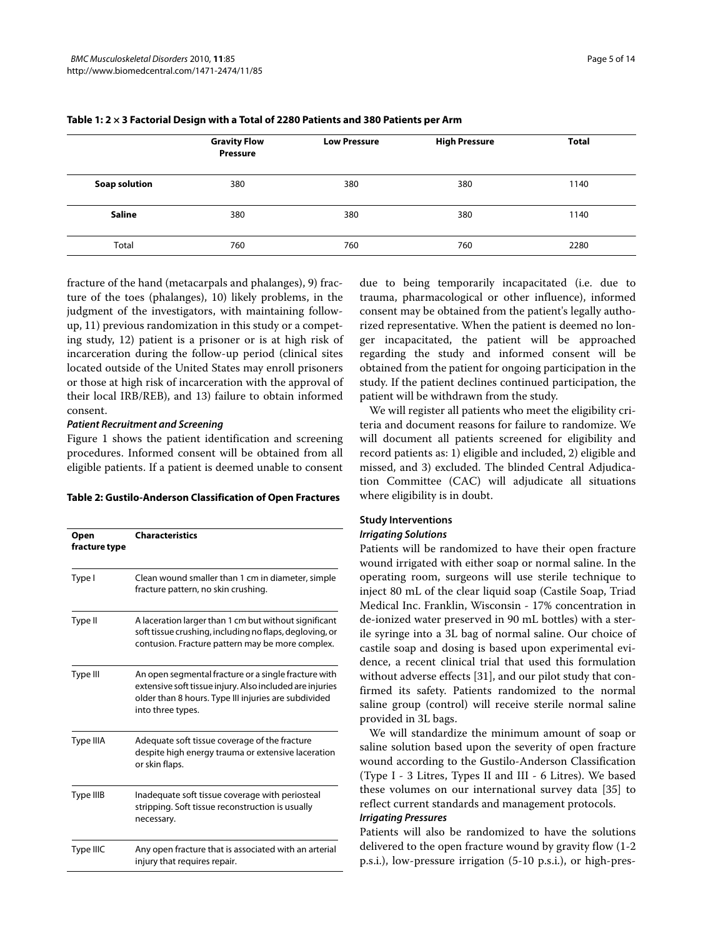|                      | <b>Gravity Flow</b><br>Pressure | <b>Low Pressure</b> | <b>High Pressure</b> | <b>Total</b> |
|----------------------|---------------------------------|---------------------|----------------------|--------------|
| <b>Soap solution</b> | 380                             | 380                 | 380                  | 1140         |
| <b>Saline</b>        | 380                             | 380                 | 380                  |              |
| Total                | 760                             | 760                 | 760                  | 2280         |

#### **Table 1: 2 × 3 Factorial Design with a Total of 2280 Patients and 380 Patients per Arm**

fracture of the hand (metacarpals and phalanges), 9) fracture of the toes (phalanges), 10) likely problems, in the judgment of the investigators, with maintaining followup, 11) previous randomization in this study or a competing study, 12) patient is a prisoner or is at high risk of incarceration during the follow-up period (clinical sites located outside of the United States may enroll prisoners or those at high risk of incarceration with the approval of their local IRB/REB), and 13) failure to obtain informed consent.

#### **Patient Recruitment and Screening**

Figure [1](#page-5-0) shows the patient identification and screening procedures. Informed consent will be obtained from all eligible patients. If a patient is deemed unable to consent

#### **Table 2: Gustilo-Anderson Classification of Open Fractures**

| Open<br>fracture type | <b>Characteristics</b>                                                                                                                                                                        |  |  |  |
|-----------------------|-----------------------------------------------------------------------------------------------------------------------------------------------------------------------------------------------|--|--|--|
| Type I                | Clean wound smaller than 1 cm in diameter, simple<br>fracture pattern, no skin crushing.                                                                                                      |  |  |  |
| Type II               | A laceration larger than 1 cm but without significant<br>soft tissue crushing, including no flaps, degloving, or<br>contusion. Fracture pattern may be more complex.                          |  |  |  |
| Type III              | An open segmental fracture or a single fracture with<br>extensive soft tissue injury. Also included are injuries<br>older than 8 hours. Type III injuries are subdivided<br>into three types. |  |  |  |
| Type IIIA             | Adequate soft tissue coverage of the fracture<br>despite high energy trauma or extensive laceration<br>or skin flaps.                                                                         |  |  |  |
| Type IIIB             | Inadequate soft tissue coverage with periosteal<br>stripping. Soft tissue reconstruction is usually<br>necessary.                                                                             |  |  |  |
| Type IIIC             | Any open fracture that is associated with an arterial<br>injury that requires repair.                                                                                                         |  |  |  |

due to being temporarily incapacitated (i.e. due to trauma, pharmacological or other influence), informed consent may be obtained from the patient's legally authorized representative. When the patient is deemed no longer incapacitated, the patient will be approached regarding the study and informed consent will be obtained from the patient for ongoing participation in the study. If the patient declines continued participation, the patient will be withdrawn from the study.

We will register all patients who meet the eligibility criteria and document reasons for failure to randomize. We will document all patients screened for eligibility and record patients as: 1) eligible and included, 2) eligible and missed, and 3) excluded. The blinded Central Adjudication Committee (CAC) will adjudicate all situations where eligibility is in doubt.

## **Study Interventions**

#### **Irrigating Solutions**

Patients will be randomized to have their open fracture wound irrigated with either soap or normal saline. In the operating room, surgeons will use sterile technique to inject 80 mL of the clear liquid soap (Castile Soap, Triad Medical Inc. Franklin, Wisconsin - 17% concentration in de-ionized water preserved in 90 mL bottles) with a sterile syringe into a 3L bag of normal saline. Our choice of castile soap and dosing is based upon experimental evidence, a recent clinical trial that used this formulation without adverse effects [\[31](#page-13-1)], and our pilot study that confirmed its safety. Patients randomized to the normal saline group (control) will receive sterile normal saline provided in 3L bags.

We will standardize the minimum amount of soap or saline solution based upon the severity of open fracture wound according to the Gustilo-Anderson Classification (Type I - 3 Litres, Types II and III - 6 Litres). We based these volumes on our international survey data [\[35](#page-13-5)] to reflect current standards and management protocols. **Irrigating Pressures**

Patients will also be randomized to have the solutions delivered to the open fracture wound by gravity flow (1-2 p.s.i.), low-pressure irrigation (5-10 p.s.i.), or high-pres-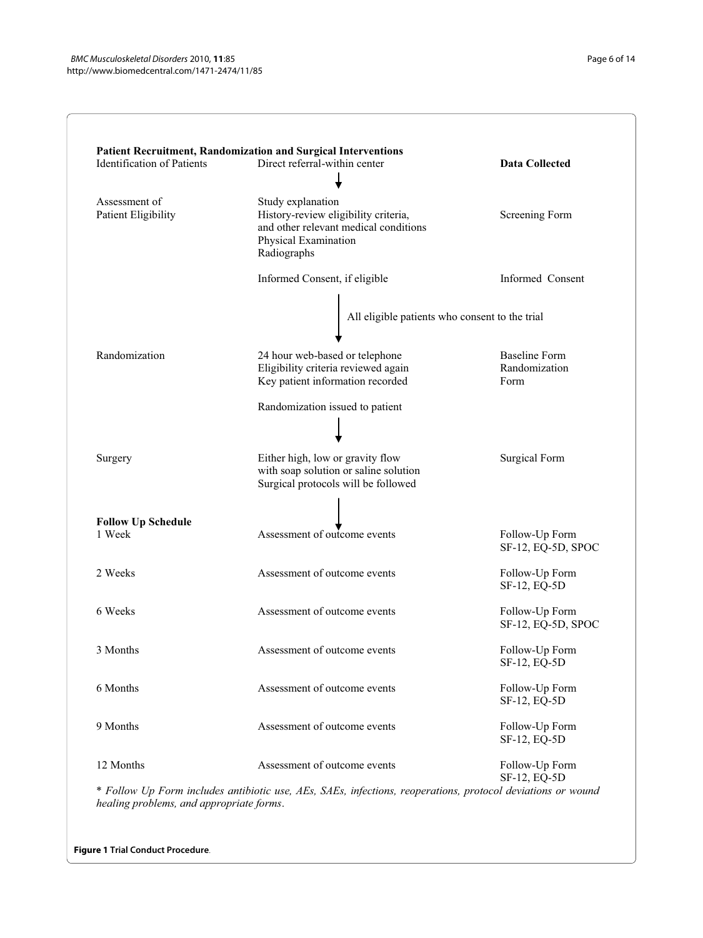<span id="page-5-0"></span>

| <b>Identification of Patients</b>           | <b>Patient Recruitment, Randomization and Surgical Interventions</b><br>Direct referral-within center                                       | <b>Data Collected</b>                         |  |
|---------------------------------------------|---------------------------------------------------------------------------------------------------------------------------------------------|-----------------------------------------------|--|
|                                             |                                                                                                                                             |                                               |  |
| Assessment of<br><b>Patient Eligibility</b> | Study explanation<br>History-review eligibility criteria,<br>and other relevant medical conditions<br>Physical Examination<br>Radiographs   | Screening Form                                |  |
|                                             | Informed Consent, if eligible                                                                                                               | Informed Consent                              |  |
|                                             | All eligible patients who consent to the trial                                                                                              |                                               |  |
| Randomization                               | 24 hour web-based or telephone<br>Eligibility criteria reviewed again<br>Key patient information recorded                                   | <b>Baseline Form</b><br>Randomization<br>Form |  |
|                                             | Randomization issued to patient                                                                                                             |                                               |  |
| Surgery                                     | Either high, low or gravity flow<br>with soap solution or saline solution<br>Surgical protocols will be followed                            | <b>Surgical Form</b>                          |  |
|                                             |                                                                                                                                             |                                               |  |
| <b>Follow Up Schedule</b><br>1 Week         | Assessment of outcome events                                                                                                                | Follow-Up Form<br>SF-12, EQ-5D, SPOC          |  |
| 2 Weeks                                     | Assessment of outcome events                                                                                                                | Follow-Up Form<br>SF-12, EQ-5D                |  |
| 6 Weeks                                     | Assessment of outcome events                                                                                                                | Follow-Up Form<br>SF-12, EQ-5D, SPOC          |  |
| 3 Months                                    | Assessment of outcome events                                                                                                                | Follow-Up Form<br>SF-12, EQ-5D                |  |
| 6 Months                                    | Assessment of outcome events                                                                                                                | Follow-Up Form<br>SF-12, EQ-5D                |  |
| 9 Months                                    | Assessment of outcome events                                                                                                                | Follow-Up Form<br>SF-12, EQ-5D                |  |
| 12 Months                                   | Assessment of outcome events<br>* Follow Up Form includes antibiotic use, AEs, SAEs, infections, reoperations, protocol deviations or wound | Follow-Up Form<br>SF-12, EQ-5D                |  |

**Figure 1 Trial Conduct Procedure**.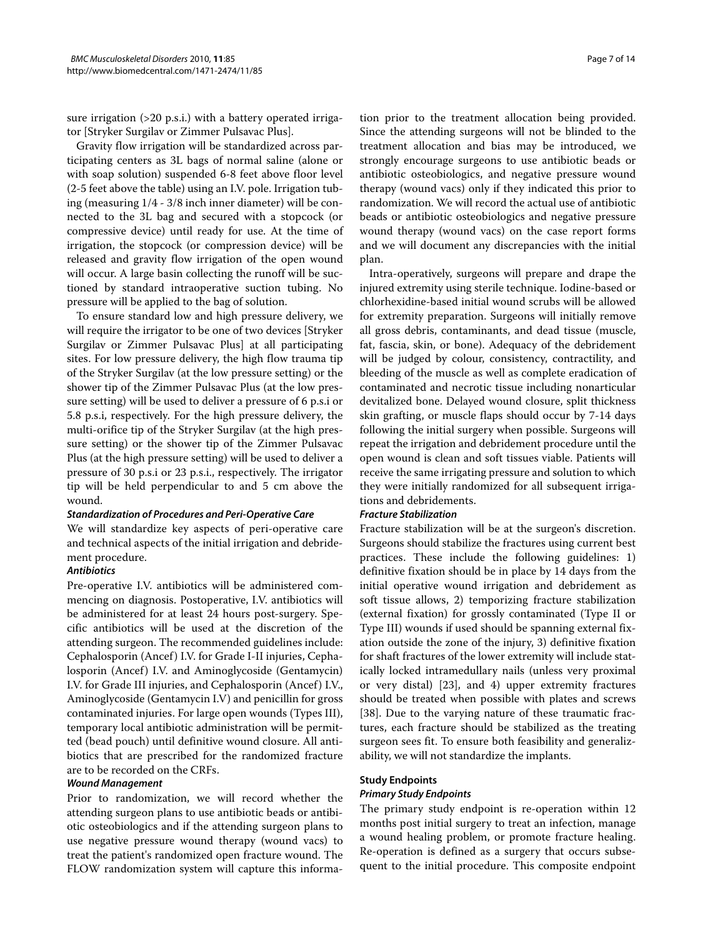sure irrigation (>20 p.s.i.) with a battery operated irrigator [Stryker Surgilav or Zimmer Pulsavac Plus].

Gravity flow irrigation will be standardized across participating centers as 3L bags of normal saline (alone or with soap solution) suspended 6-8 feet above floor level (2-5 feet above the table) using an I.V. pole. Irrigation tubing (measuring 1/4 - 3/8 inch inner diameter) will be connected to the 3L bag and secured with a stopcock (or compressive device) until ready for use. At the time of irrigation, the stopcock (or compression device) will be released and gravity flow irrigation of the open wound will occur. A large basin collecting the runoff will be suctioned by standard intraoperative suction tubing. No pressure will be applied to the bag of solution.

To ensure standard low and high pressure delivery, we will require the irrigator to be one of two devices [Stryker Surgilav or Zimmer Pulsavac Plus] at all participating sites. For low pressure delivery, the high flow trauma tip of the Stryker Surgilav (at the low pressure setting) or the shower tip of the Zimmer Pulsavac Plus (at the low pressure setting) will be used to deliver a pressure of 6 p.s.i or 5.8 p.s.i, respectively. For the high pressure delivery, the multi-orifice tip of the Stryker Surgilav (at the high pressure setting) or the shower tip of the Zimmer Pulsavac Plus (at the high pressure setting) will be used to deliver a pressure of 30 p.s.i or 23 p.s.i., respectively. The irrigator tip will be held perpendicular to and 5 cm above the wound.

#### **Standardization of Procedures and Peri-Operative Care**

We will standardize key aspects of peri-operative care and technical aspects of the initial irrigation and debridement procedure.

## **Antibiotics**

Pre-operative I.V. antibiotics will be administered commencing on diagnosis. Postoperative, I.V. antibiotics will be administered for at least 24 hours post-surgery. Specific antibiotics will be used at the discretion of the attending surgeon. The recommended guidelines include: Cephalosporin (Ancef) I.V. for Grade I-II injuries, Cephalosporin (Ancef) I.V. and Aminoglycoside (Gentamycin) I.V. for Grade III injuries, and Cephalosporin (Ancef) I.V., Aminoglycoside (Gentamycin I.V) and penicillin for gross contaminated injuries. For large open wounds (Types III), temporary local antibiotic administration will be permitted (bead pouch) until definitive wound closure. All antibiotics that are prescribed for the randomized fracture are to be recorded on the CRFs.

#### **Wound Management**

Prior to randomization, we will record whether the attending surgeon plans to use antibiotic beads or antibiotic osteobiologics and if the attending surgeon plans to use negative pressure wound therapy (wound vacs) to treat the patient's randomized open fracture wound. The FLOW randomization system will capture this informaPage 7 of 14

tion prior to the treatment allocation being provided. Since the attending surgeons will not be blinded to the treatment allocation and bias may be introduced, we strongly encourage surgeons to use antibiotic beads or antibiotic osteobiologics, and negative pressure wound therapy (wound vacs) only if they indicated this prior to randomization. We will record the actual use of antibiotic beads or antibiotic osteobiologics and negative pressure wound therapy (wound vacs) on the case report forms and we will document any discrepancies with the initial plan.

Intra-operatively, surgeons will prepare and drape the injured extremity using sterile technique. Iodine-based or chlorhexidine-based initial wound scrubs will be allowed for extremity preparation. Surgeons will initially remove all gross debris, contaminants, and dead tissue (muscle, fat, fascia, skin, or bone). Adequacy of the debridement will be judged by colour, consistency, contractility, and bleeding of the muscle as well as complete eradication of contaminated and necrotic tissue including nonarticular devitalized bone. Delayed wound closure, split thickness skin grafting, or muscle flaps should occur by 7-14 days following the initial surgery when possible. Surgeons will repeat the irrigation and debridement procedure until the open wound is clean and soft tissues viable. Patients will receive the same irrigating pressure and solution to which they were initially randomized for all subsequent irrigations and debridements.

#### **Fracture Stabilization**

Fracture stabilization will be at the surgeon's discretion. Surgeons should stabilize the fractures using current best practices. These include the following guidelines: 1) definitive fixation should be in place by 14 days from the initial operative wound irrigation and debridement as soft tissue allows, 2) temporizing fracture stabilization (external fixation) for grossly contaminated (Type II or Type III) wounds if used should be spanning external fixation outside the zone of the injury, 3) definitive fixation for shaft fractures of the lower extremity will include statically locked intramedullary nails (unless very proximal or very distal) [[23\]](#page-12-16), and 4) upper extremity fractures should be treated when possible with plates and screws [[38\]](#page-13-8). Due to the varying nature of these traumatic fractures, each fracture should be stabilized as the treating surgeon sees fit. To ensure both feasibility and generalizability, we will not standardize the implants.

## **Study Endpoints**

#### **Primary Study Endpoints**

The primary study endpoint is re-operation within 12 months post initial surgery to treat an infection, manage a wound healing problem, or promote fracture healing. Re-operation is defined as a surgery that occurs subsequent to the initial procedure. This composite endpoint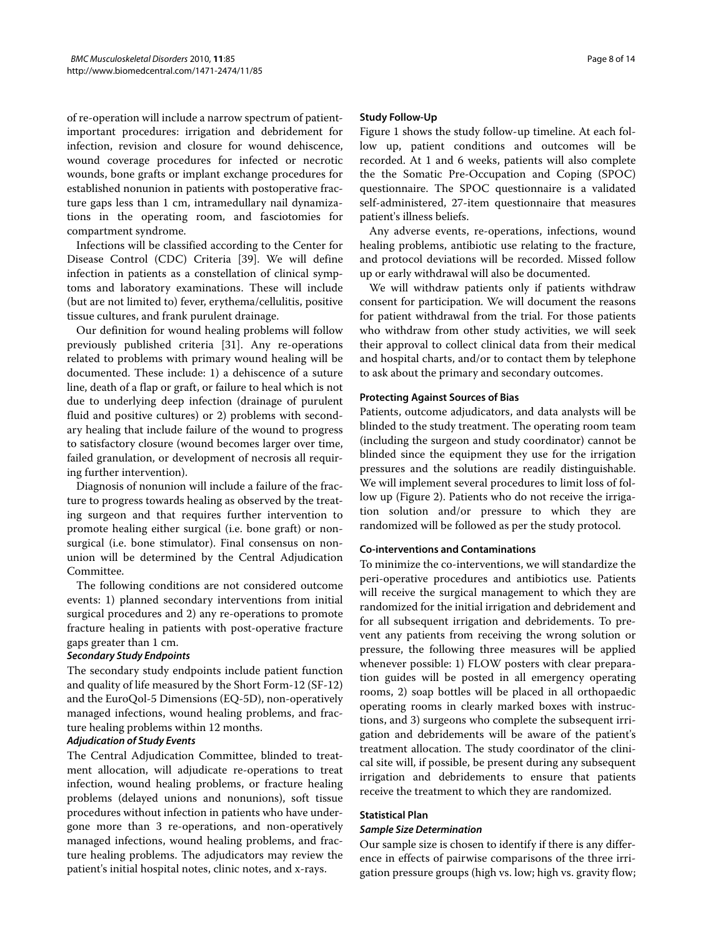of re-operation will include a narrow spectrum of patientimportant procedures: irrigation and debridement for infection, revision and closure for wound dehiscence, wound coverage procedures for infected or necrotic wounds, bone grafts or implant exchange procedures for established nonunion in patients with postoperative fracture gaps less than 1 cm, intramedullary nail dynamizations in the operating room, and fasciotomies for compartment syndrome.

Infections will be classified according to the Center for Disease Control (CDC) Criteria [[39\]](#page-13-9). We will define infection in patients as a constellation of clinical symptoms and laboratory examinations. These will include (but are not limited to) fever, erythema/cellulitis, positive tissue cultures, and frank purulent drainage.

Our definition for wound healing problems will follow previously published criteria [[31\]](#page-13-1). Any re-operations related to problems with primary wound healing will be documented. These include: 1) a dehiscence of a suture line, death of a flap or graft, or failure to heal which is not due to underlying deep infection (drainage of purulent fluid and positive cultures) or 2) problems with secondary healing that include failure of the wound to progress to satisfactory closure (wound becomes larger over time, failed granulation, or development of necrosis all requiring further intervention).

Diagnosis of nonunion will include a failure of the fracture to progress towards healing as observed by the treating surgeon and that requires further intervention to promote healing either surgical (i.e. bone graft) or nonsurgical (i.e. bone stimulator). Final consensus on nonunion will be determined by the Central Adjudication Committee.

The following conditions are not considered outcome events: 1) planned secondary interventions from initial surgical procedures and 2) any re-operations to promote fracture healing in patients with post-operative fracture gaps greater than 1 cm.

#### **Secondary Study Endpoints**

The secondary study endpoints include patient function and quality of life measured by the Short Form-12 (SF-12) and the EuroQol-5 Dimensions (EQ-5D), non-operatively managed infections, wound healing problems, and fracture healing problems within 12 months.

#### **Adjudication of Study Events**

The Central Adjudication Committee, blinded to treatment allocation, will adjudicate re-operations to treat infection, wound healing problems, or fracture healing problems (delayed unions and nonunions), soft tissue procedures without infection in patients who have undergone more than 3 re-operations, and non-operatively managed infections, wound healing problems, and fracture healing problems. The adjudicators may review the patient's initial hospital notes, clinic notes, and x-rays.

#### **Study Follow-Up**

Figure [1](#page-5-0) shows the study follow-up timeline. At each follow up, patient conditions and outcomes will be recorded. At 1 and 6 weeks, patients will also complete the the Somatic Pre-Occupation and Coping (SPOC) questionnaire. The SPOC questionnaire is a validated self-administered, 27-item questionnaire that measures patient's illness beliefs.

Any adverse events, re-operations, infections, wound healing problems, antibiotic use relating to the fracture, and protocol deviations will be recorded. Missed follow up or early withdrawal will also be documented.

We will withdraw patients only if patients withdraw consent for participation. We will document the reasons for patient withdrawal from the trial. For those patients who withdraw from other study activities, we will seek their approval to collect clinical data from their medical and hospital charts, and/or to contact them by telephone to ask about the primary and secondary outcomes.

#### **Protecting Against Sources of Bias**

Patients, outcome adjudicators, and data analysts will be blinded to the study treatment. The operating room team (including the surgeon and study coordinator) cannot be blinded since the equipment they use for the irrigation pressures and the solutions are readily distinguishable. We will implement several procedures to limit loss of follow up (Figure [2](#page-8-0)). Patients who do not receive the irrigation solution and/or pressure to which they are randomized will be followed as per the study protocol.

#### **Co-interventions and Contaminations**

To minimize the co-interventions, we will standardize the peri-operative procedures and antibiotics use. Patients will receive the surgical management to which they are randomized for the initial irrigation and debridement and for all subsequent irrigation and debridements. To prevent any patients from receiving the wrong solution or pressure, the following three measures will be applied whenever possible: 1) FLOW posters with clear preparation guides will be posted in all emergency operating rooms, 2) soap bottles will be placed in all orthopaedic operating rooms in clearly marked boxes with instructions, and 3) surgeons who complete the subsequent irrigation and debridements will be aware of the patient's treatment allocation. The study coordinator of the clinical site will, if possible, be present during any subsequent irrigation and debridements to ensure that patients receive the treatment to which they are randomized.

#### **Statistical Plan**

#### **Sample Size Determination**

Our sample size is chosen to identify if there is any difference in effects of pairwise comparisons of the three irrigation pressure groups (high vs. low; high vs. gravity flow;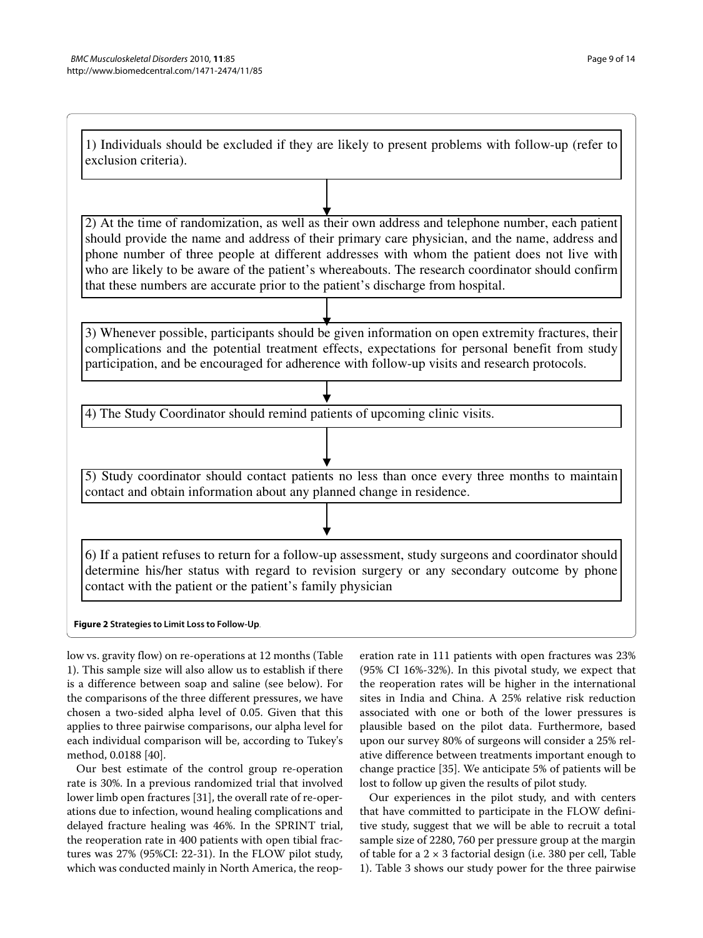<span id="page-8-0"></span>

low vs. gravity flow) on re-operations at 12 months (Table 1). This sample size will also allow us to establish if there is a difference between soap and saline (see below). For the comparisons of the three different pressures, we have chosen a two-sided alpha level of 0.05. Given that this applies to three pairwise comparisons, our alpha level for each individual comparison will be, according to Tukey's method, 0.0188 [\[40](#page-13-10)].

Our best estimate of the control group re-operation rate is 30%. In a previous randomized trial that involved lower limb open fractures [\[31](#page-13-1)], the overall rate of re-operations due to infection, wound healing complications and delayed fracture healing was 46%. In the SPRINT trial, the reoperation rate in 400 patients with open tibial fractures was 27% (95%CI: 22-31). In the FLOW pilot study, which was conducted mainly in North America, the reop-

eration rate in 111 patients with open fractures was 23% (95% CI 16%-32%). In this pivotal study, we expect that the reoperation rates will be higher in the international sites in India and China. A 25% relative risk reduction associated with one or both of the lower pressures is plausible based on the pilot data. Furthermore, based upon our survey 80% of surgeons will consider a 25% relative difference between treatments important enough to change practice [[35](#page-13-5)]. We anticipate 5% of patients will be lost to follow up given the results of pilot study.

Our experiences in the pilot study, and with centers that have committed to participate in the FLOW definitive study, suggest that we will be able to recruit a total sample size of 2280, 760 per pressure group at the margin of table for a  $2 \times 3$  factorial design (i.e. 380 per cell, Table 1). Table 3 shows our study power for the three pairwise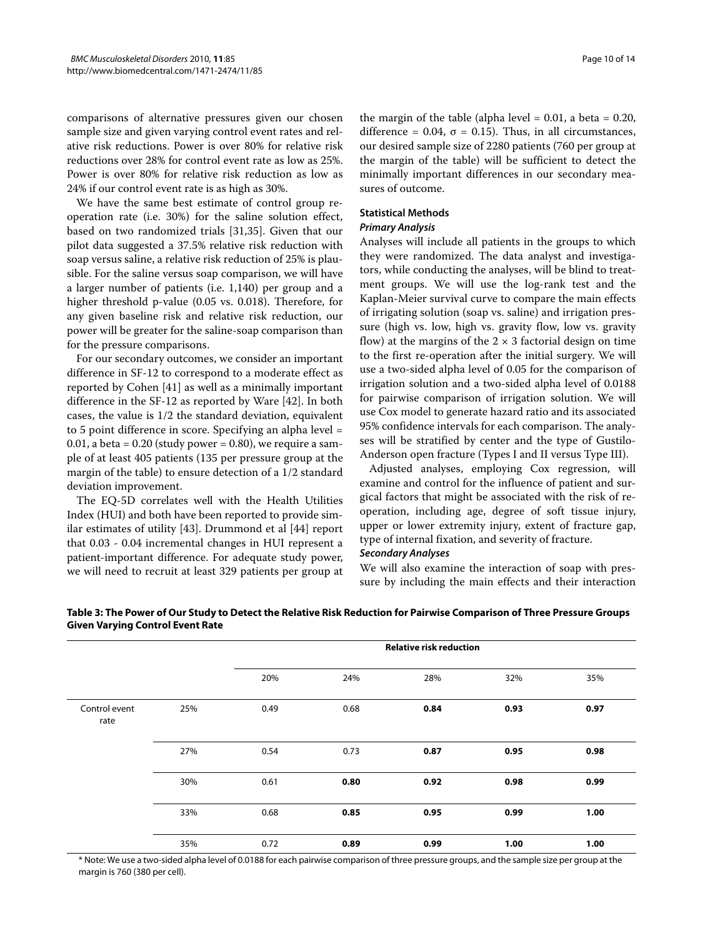comparisons of alternative pressures given our chosen sample size and given varying control event rates and relative risk reductions. Power is over 80% for relative risk reductions over 28% for control event rate as low as 25%. Power is over 80% for relative risk reduction as low as 24% if our control event rate is as high as 30%.

We have the same best estimate of control group reoperation rate (i.e. 30%) for the saline solution effect, based on two randomized trials [\[31](#page-13-1),[35](#page-13-5)]. Given that our pilot data suggested a 37.5% relative risk reduction with soap versus saline, a relative risk reduction of 25% is plausible. For the saline versus soap comparison, we will have a larger number of patients (i.e. 1,140) per group and a higher threshold p-value (0.05 vs. 0.018). Therefore, for any given baseline risk and relative risk reduction, our power will be greater for the saline-soap comparison than for the pressure comparisons.

For our secondary outcomes, we consider an important difference in SF-12 to correspond to a moderate effect as reported by Cohen [[41](#page-13-11)] as well as a minimally important difference in the SF-12 as reported by Ware [\[42\]](#page-13-12). In both cases, the value is 1/2 the standard deviation, equivalent to 5 point difference in score. Specifying an alpha level = 0.01, a beta =  $0.20$  (study power = 0.80), we require a sample of at least 405 patients (135 per pressure group at the margin of the table) to ensure detection of a 1/2 standard deviation improvement.

The EQ-5D correlates well with the Health Utilities Index (HUI) and both have been reported to provide similar estimates of utility [\[43](#page-13-13)]. Drummond et al [[44\]](#page-13-14) report that 0.03 - 0.04 incremental changes in HUI represent a patient-important difference. For adequate study power, we will need to recruit at least 329 patients per group at

the margin of the table (alpha level  $= 0.01$ , a beta  $= 0.20$ , difference = 0.04,  $\sigma$  = 0.15). Thus, in all circumstances, our desired sample size of 2280 patients (760 per group at the margin of the table) will be sufficient to detect the minimally important differences in our secondary measures of outcome.

## **Statistical Methods**

## **Primary Analysis**

Analyses will include all patients in the groups to which they were randomized. The data analyst and investigators, while conducting the analyses, will be blind to treatment groups. We will use the log-rank test and the Kaplan-Meier survival curve to compare the main effects of irrigating solution (soap vs. saline) and irrigation pressure (high vs. low, high vs. gravity flow, low vs. gravity flow) at the margins of the  $2 \times 3$  factorial design on time to the first re-operation after the initial surgery. We will use a two-sided alpha level of 0.05 for the comparison of irrigation solution and a two-sided alpha level of 0.0188 for pairwise comparison of irrigation solution. We will use Cox model to generate hazard ratio and its associated 95% confidence intervals for each comparison. The analyses will be stratified by center and the type of Gustilo-Anderson open fracture (Types I and II versus Type III).

Adjusted analyses, employing Cox regression, will examine and control for the influence of patient and surgical factors that might be associated with the risk of reoperation, including age, degree of soft tissue injury, upper or lower extremity injury, extent of fracture gap, type of internal fixation, and severity of fracture.

#### **Secondary Analyses**

We will also examine the interaction of soap with pressure by including the main effects and their interaction

|                       |     | <b>Relative risk reduction</b> |      |      |      |      |  |
|-----------------------|-----|--------------------------------|------|------|------|------|--|
|                       |     | 20%                            | 24%  | 28%  | 32%  | 35%  |  |
| Control event<br>rate | 25% | 0.49                           | 0.68 | 0.84 | 0.93 | 0.97 |  |
|                       | 27% | 0.54                           | 0.73 | 0.87 | 0.95 | 0.98 |  |
|                       | 30% | 0.61                           | 0.80 | 0.92 | 0.98 | 0.99 |  |
|                       | 33% | 0.68                           | 0.85 | 0.95 | 0.99 | 1.00 |  |
|                       | 35% | 0.72                           | 0.89 | 0.99 | 1.00 | 1.00 |  |

## **Table 3: The Power of Our Study to Detect the Relative Risk Reduction for Pairwise Comparison of Three Pressure Groups Given Varying Control Event Rate**

\* Note: We use a two-sided alpha level of 0.0188 for each pairwise comparison of three pressure groups, and the sample size per group at the margin is 760 (380 per cell).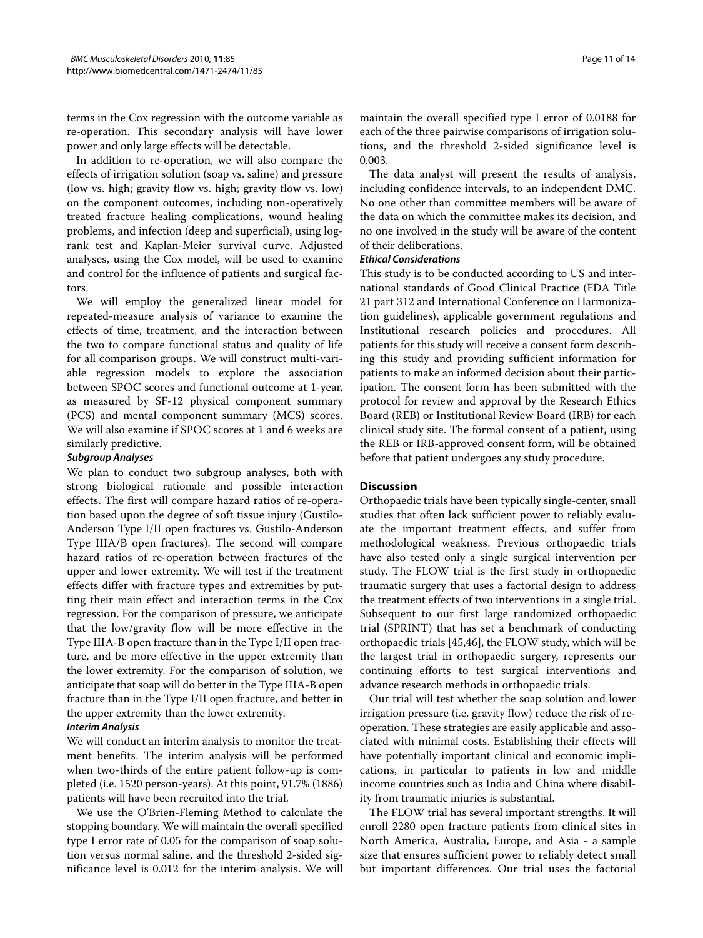terms in the Cox regression with the outcome variable as re-operation. This secondary analysis will have lower power and only large effects will be detectable.

In addition to re-operation, we will also compare the effects of irrigation solution (soap vs. saline) and pressure (low vs. high; gravity flow vs. high; gravity flow vs. low) on the component outcomes, including non-operatively treated fracture healing complications, wound healing problems, and infection (deep and superficial), using logrank test and Kaplan-Meier survival curve. Adjusted analyses, using the Cox model, will be used to examine and control for the influence of patients and surgical factors.

We will employ the generalized linear model for repeated-measure analysis of variance to examine the effects of time, treatment, and the interaction between the two to compare functional status and quality of life for all comparison groups. We will construct multi-variable regression models to explore the association between SPOC scores and functional outcome at 1-year, as measured by SF-12 physical component summary (PCS) and mental component summary (MCS) scores. We will also examine if SPOC scores at 1 and 6 weeks are similarly predictive.

## **Subgroup Analyses**

We plan to conduct two subgroup analyses, both with strong biological rationale and possible interaction effects. The first will compare hazard ratios of re-operation based upon the degree of soft tissue injury (Gustilo-Anderson Type I/II open fractures vs. Gustilo-Anderson Type IIIA/B open fractures). The second will compare hazard ratios of re-operation between fractures of the upper and lower extremity. We will test if the treatment effects differ with fracture types and extremities by putting their main effect and interaction terms in the Cox regression. For the comparison of pressure, we anticipate that the low/gravity flow will be more effective in the Type IIIA-B open fracture than in the Type I/II open fracture, and be more effective in the upper extremity than the lower extremity. For the comparison of solution, we anticipate that soap will do better in the Type IIIA-B open fracture than in the Type I/II open fracture, and better in the upper extremity than the lower extremity.

## **Interim Analysis**

We will conduct an interim analysis to monitor the treatment benefits. The interim analysis will be performed when two-thirds of the entire patient follow-up is completed (i.e. 1520 person-years). At this point, 91.7% (1886) patients will have been recruited into the trial.

We use the O'Brien-Fleming Method to calculate the stopping boundary. We will maintain the overall specified type I error rate of 0.05 for the comparison of soap solution versus normal saline, and the threshold 2-sided significance level is 0.012 for the interim analysis. We will

maintain the overall specified type I error of 0.0188 for each of the three pairwise comparisons of irrigation solutions, and the threshold 2-sided significance level is 0.003.

The data analyst will present the results of analysis, including confidence intervals, to an independent DMC. No one other than committee members will be aware of the data on which the committee makes its decision, and no one involved in the study will be aware of the content of their deliberations.

#### **Ethical Considerations**

This study is to be conducted according to US and international standards of Good Clinical Practice (FDA Title 21 part 312 and International Conference on Harmonization guidelines), applicable government regulations and Institutional research policies and procedures. All patients for this study will receive a consent form describing this study and providing sufficient information for patients to make an informed decision about their participation. The consent form has been submitted with the protocol for review and approval by the Research Ethics Board (REB) or Institutional Review Board (IRB) for each clinical study site. The formal consent of a patient, using the REB or IRB-approved consent form, will be obtained before that patient undergoes any study procedure.

## **Discussion**

Orthopaedic trials have been typically single-center, small studies that often lack sufficient power to reliably evaluate the important treatment effects, and suffer from methodological weakness. Previous orthopaedic trials have also tested only a single surgical intervention per study. The FLOW trial is the first study in orthopaedic traumatic surgery that uses a factorial design to address the treatment effects of two interventions in a single trial. Subsequent to our first large randomized orthopaedic trial (SPRINT) that has set a benchmark of conducting orthopaedic trials [[45,](#page-13-15)[46\]](#page-13-16), the FLOW study, which will be the largest trial in orthopaedic surgery, represents our continuing efforts to test surgical interventions and advance research methods in orthopaedic trials.

Our trial will test whether the soap solution and lower irrigation pressure (i.e. gravity flow) reduce the risk of reoperation. These strategies are easily applicable and associated with minimal costs. Establishing their effects will have potentially important clinical and economic implications, in particular to patients in low and middle income countries such as India and China where disability from traumatic injuries is substantial.

The FLOW trial has several important strengths. It will enroll 2280 open fracture patients from clinical sites in North America, Australia, Europe, and Asia - a sample size that ensures sufficient power to reliably detect small but important differences. Our trial uses the factorial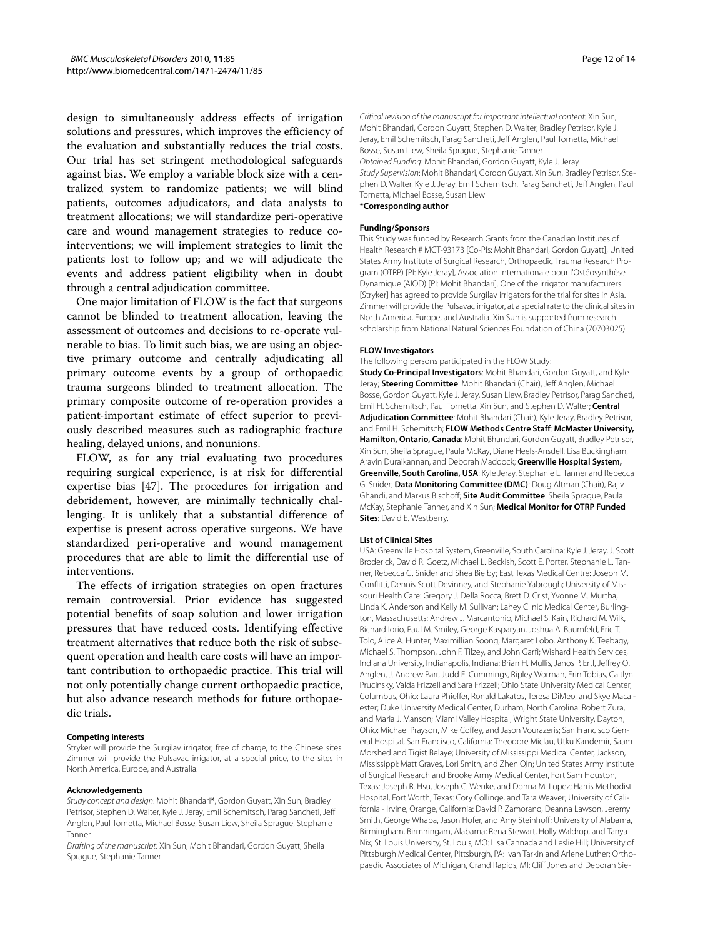design to simultaneously address effects of irrigation solutions and pressures, which improves the efficiency of the evaluation and substantially reduces the trial costs. Our trial has set stringent methodological safeguards against bias. We employ a variable block size with a centralized system to randomize patients; we will blind patients, outcomes adjudicators, and data analysts to treatment allocations; we will standardize peri-operative care and wound management strategies to reduce cointerventions; we will implement strategies to limit the patients lost to follow up; and we will adjudicate the events and address patient eligibility when in doubt through a central adjudication committee.

One major limitation of FLOW is the fact that surgeons cannot be blinded to treatment allocation, leaving the assessment of outcomes and decisions to re-operate vulnerable to bias. To limit such bias, we are using an objective primary outcome and centrally adjudicating all primary outcome events by a group of orthopaedic trauma surgeons blinded to treatment allocation. The primary composite outcome of re-operation provides a patient-important estimate of effect superior to previously described measures such as radiographic fracture healing, delayed unions, and nonunions.

FLOW, as for any trial evaluating two procedures requiring surgical experience, is at risk for differential expertise bias [[47\]](#page-13-17). The procedures for irrigation and debridement, however, are minimally technically challenging. It is unlikely that a substantial difference of expertise is present across operative surgeons. We have standardized peri-operative and wound management procedures that are able to limit the differential use of interventions.

The effects of irrigation strategies on open fractures remain controversial. Prior evidence has suggested potential benefits of soap solution and lower irrigation pressures that have reduced costs. Identifying effective treatment alternatives that reduce both the risk of subsequent operation and health care costs will have an important contribution to orthopaedic practice. This trial will not only potentially change current orthopaedic practice, but also advance research methods for future orthopaedic trials.

#### **Competing interests**

Stryker will provide the Surgilay irrigator, free of charge, to the Chinese sites. Zimmer will provide the Pulsavac irrigator, at a special price, to the sites in North America, Europe, and Australia.

#### **Acknowledgements**

Study concept and design: Mohit Bhandari**\***, Gordon Guyatt, Xin Sun, Bradley Petrisor, Stephen D. Walter, Kyle J. Jeray, Emil Schemitsch, Parag Sancheti, Jeff Anglen, Paul Tornetta, Michael Bosse, Susan Liew, Sheila Sprague, Stephanie Tanner

Drafting of the manuscript: Xin Sun, Mohit Bhandari, Gordon Guyatt, Sheila Sprague, Stephanie Tanner

Critical revision of the manuscript for important intellectual content: Xin Sun, Mohit Bhandari, Gordon Guyatt, Stephen D. Walter, Bradley Petrisor, Kyle J. Jeray, Emil Schemitsch, Parag Sancheti, Jeff Anglen, Paul Tornetta, Michael Bosse, Susan Liew, Sheila Sprague, Stephanie Tanner Obtained Funding: Mohit Bhandari, Gordon Guyatt, Kyle J. Jeray Study Supervision: Mohit Bhandari, Gordon Guyatt, Xin Sun, Bradley Petrisor, Stephen D. Walter, Kyle J. Jeray, Emil Schemitsch, Parag Sancheti, Jeff Anglen, Paul Tornetta, Michael Bosse, Susan Liew

**\*Corresponding author**

#### **Funding/Sponsors**

This Study was funded by Research Grants from the Canadian Institutes of Health Research # MCT-93173 [Co-PIs: Mohit Bhandari, Gordon Guyatt], United States Army Institute of Surgical Research, Orthopaedic Trauma Research Program (OTRP) [PI: Kyle Jeray], Association Internationale pour l'Ostéosynthèse Dynamique (AIOD) [PI: Mohit Bhandari]. One of the irrigator manufacturers [Stryker] has agreed to provide Surgilav irrigators for the trial for sites in Asia. Zimmer will provide the Pulsavac irrigator, at a special rate to the clinical sites in North America, Europe, and Australia. Xin Sun is supported from research scholarship from National Natural Sciences Foundation of China (70703025).

#### **FLOW Investigators**

The following persons participated in the FLOW Study: **Study Co-Principal Investigators**: Mohit Bhandari, Gordon Guyatt, and Kyle Jeray; **Steering Committee**: Mohit Bhandari (Chair), Jeff Anglen, Michael Bosse, Gordon Guyatt, Kyle J. Jeray, Susan Liew, Bradley Petrisor, Parag Sancheti, Emil H. Schemitsch, Paul Tornetta, Xin Sun, and Stephen D. Walter; **Central Adjudication Committee**: Mohit Bhandari (Chair), Kyle Jeray, Bradley Petrisor, and Emil H. Schemitsch; **FLOW Methods Centre Staff**: **McMaster University, Hamilton, Ontario, Canada**: Mohit Bhandari, Gordon Guyatt, Bradley Petrisor, Xin Sun, Sheila Sprague, Paula McKay, Diane Heels-Ansdell, Lisa Buckingham, Aravin Duraikannan, and Deborah Maddock; **Greenville Hospital System, Greenville, South Carolina, USA**: Kyle Jeray, Stephanie L. Tanner and Rebecca G. Snider; **Data Monitoring Committee (DMC)**: Doug Altman (Chair), Rajiv Ghandi, and Markus Bischoff; **Site Audit Committee**: Sheila Sprague, Paula McKay, Stephanie Tanner, and Xin Sun; **Medical Monitor for OTRP Funded Sites**: David E. Westberry.

#### **List of Clinical Sites**

USA: Greenville Hospital System, Greenville, South Carolina: Kyle J. Jeray, J. Scott Broderick, David R. Goetz, Michael L. Beckish, Scott E. Porter, Stephanie L. Tanner, Rebecca G. Snider and Shea Bielby; East Texas Medical Centre: Joseph M. Conflitti, Dennis Scott Devinney, and Stephanie Yabrough; University of Missouri Health Care: Gregory J. Della Rocca, Brett D. Crist, Yvonne M. Murtha, Linda K. Anderson and Kelly M. Sullivan; Lahey Clinic Medical Center, Burlington, Massachusetts: Andrew J. Marcantonio, Michael S. Kain, Richard M. Wilk, Richard Iorio, Paul M. Smiley, George Kasparyan, Joshua A. Baumfeld, Eric T. Tolo, Alice A. Hunter, Maximillian Soong, Margaret Lobo, Anthony K. Teebagy, Michael S. Thompson, John F. Tilzey, and John Garfi; Wishard Health Services, Indiana University, Indianapolis, Indiana: Brian H. Mullis, Janos P. Ertl, Jeffrey O. Anglen, J. Andrew Parr, Judd E. Cummings, Ripley Worman, Erin Tobias, Caitlyn Prucinsky, Valda Frizzell and Sara Frizzell; Ohio State University Medical Center, Columbus, Ohio: Laura Phieffer, Ronald Lakatos, Teresa DiMeo, and Skye Macalester; Duke University Medical Center, Durham, North Carolina: Robert Zura, and Maria J. Manson; Miami Valley Hospital, Wright State University, Dayton, Ohio: Michael Prayson, Mike Coffey, and Jason Vourazeris; San Francisco General Hospital, San Francisco, California: Theodore Miclau, Utku Kandemir, Saam Morshed and Tigist Belaye; University of Mississippi Medical Center, Jackson, Mississippi: Matt Graves, Lori Smith, and Zhen Qin; United States Army Institute of Surgical Research and Brooke Army Medical Center, Fort Sam Houston, Texas: Joseph R. Hsu, Joseph C. Wenke, and Donna M. Lopez; Harris Methodist Hospital, Fort Worth, Texas: Cory Collinge, and Tara Weaver; University of California - Irvine, Orange, California: David P. Zamorano, Deanna Lawson, Jeremy Smith, George Whaba, Jason Hofer, and Amy Steinhoff; University of Alabama, Birmingham, Birmhingam, Alabama; Rena Stewart, Holly Waldrop, and Tanya Nix; St. Louis University, St. Louis, MO: Lisa Cannada and Leslie Hill; University of Pittsburgh Medical Center, Pittsburgh, PA: Ivan Tarkin and Arlene Luther; Orthopaedic Associates of Michigan, Grand Rapids, MI: Cliff Jones and Deborah Sie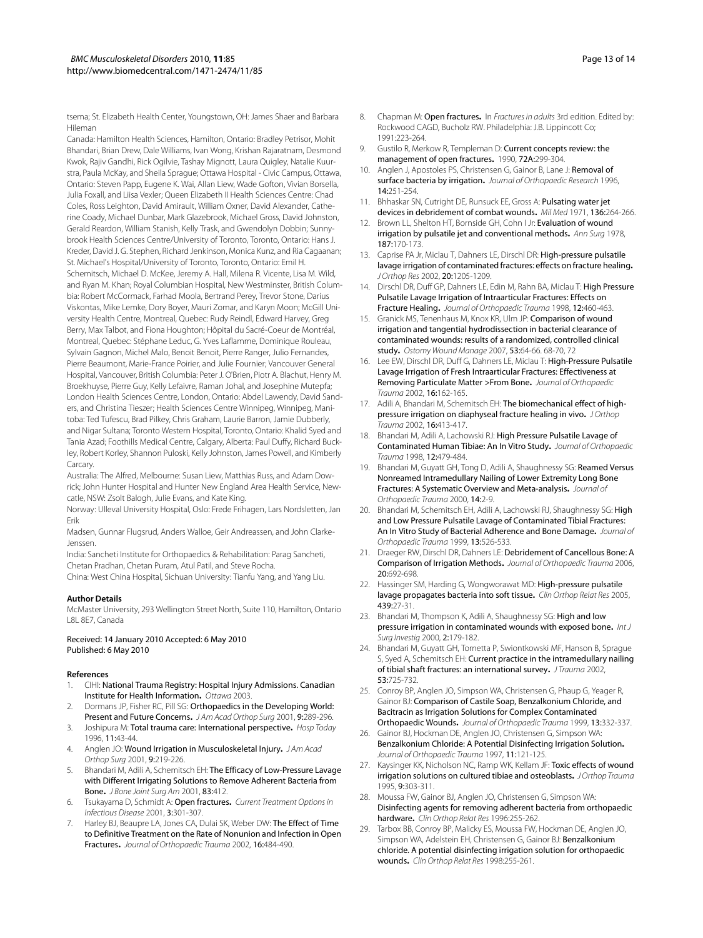tsema; St. Elizabeth Health Center, Youngstown, OH: James Shaer and Barbara Hileman

Canada: Hamilton Health Sciences, Hamilton, Ontario: Bradley Petrisor, Mohit Bhandari, Brian Drew, Dale Williams, Ivan Wong, Krishan Rajaratnam, Desmond Kwok, Rajiv Gandhi, Rick Ogilvie, Tashay Mignott, Laura Quigley, Natalie Kuurstra, Paula McKay, and Sheila Sprague; Ottawa Hospital - Civic Campus, Ottawa, Ontario: Steven Papp, Eugene K. Wai, Allan Liew, Wade Gofton, Vivian Borsella, Julia Foxall, and Liisa Vexler; Queen Elizabeth II Health Sciences Centre: Chad Coles, Ross Leighton, David Amirault, William Oxner, David Alexander, Catherine Coady, Michael Dunbar, Mark Glazebrook, Michael Gross, David Johnston, Gerald Reardon, William Stanish, Kelly Trask, and Gwendolyn Dobbin; Sunnybrook Health Sciences Centre/University of Toronto, Toronto, Ontario: Hans J. Kreder, David J. G. Stephen, Richard Jenkinson, Monica Kunz, and Ria Cagaanan; St. Michael's Hospital/University of Toronto, Toronto, Ontario: Emil H. Schemitsch, Michael D. McKee, Jeremy A. Hall, Milena R. Vicente, Lisa M. Wild, and Ryan M. Khan; Royal Columbian Hospital, New Westminster, British Columbia: Robert McCormack, Farhad Moola, Bertrand Perey, Trevor Stone, Darius Viskontas, Mike Lemke, Dory Boyer, Mauri Zomar, and Karyn Moon; McGill University Health Centre, Montreal, Quebec: Rudy Reindl, Edward Harvey, Greg Berry, Max Talbot, and Fiona Houghton; Hôpital du Sacré-Coeur de Montréal, Montreal, Quebec: Stéphane Leduc, G. Yves Laflamme, Dominique Rouleau, Sylvain Gagnon, Michel Malo, Benoit Benoit, Pierre Ranger, Julio Fernandes, Pierre Beaumont, Marie-France Poirier, and Julie Fournier; Vancouver General Hospital, Vancouver, British Columbia: Peter J. O'Brien, Piotr A. Blachut, Henry M. Broekhuyse, Pierre Guy, Kelly Lefaivre, Raman Johal, and Josephine Mutepfa; London Health Sciences Centre, London, Ontario: Abdel Lawendy, David Sanders, and Christina Tieszer; Health Sciences Centre Winnipeg, Winnipeg, Manitoba: Ted Tufescu, Brad Pilkey, Chris Graham, Laurie Barron, Jamie Dubberly, and Nigar Sultana; Toronto Western Hospital, Toronto, Ontario: Khalid Syed and Tania Azad; Foothills Medical Centre, Calgary, Alberta: Paul Duffy, Richard Buckley, Robert Korley, Shannon Puloski, Kelly Johnston, James Powell, and Kimberly Carcary.

Australia: The Alfred, Melbourne: Susan Liew, Matthias Russ, and Adam Dowrick; John Hunter Hospital and Hunter New England Area Health Service, Newcatle, NSW: Zsolt Balogh, Julie Evans, and Kate King.

Norway: Ulleval University Hospital, Oslo: Frede Frihagen, Lars Nordsletten, Jan Erik

Madsen, Gunnar Flugsrud, Anders Walloe, Geir Andreassen, and John Clarke-Jenssen.

India: Sancheti Institute for Orthopaedics & Rehabilitation: Parag Sancheti, Chetan Pradhan, Chetan Puram, Atul Patil, and Steve Rocha.

China: West China Hospital, Sichuan University: Tianfu Yang, and Yang Liu.

#### **Author Details**

McMaster University, 293 Wellington Street North, Suite 110, Hamilton, Ontario L8L 8E7, Canada

#### Received: 14 January 2010 Accepted: 6 May 2010 Published: 6 May 2010

#### **References**

- <span id="page-12-0"></span>1. CIHI: National Trauma Registry: Hospital Injury Admissions. Canadian Institute for Health Information**.** Ottawa 2003.
- <span id="page-12-1"></span>2. Dormans JP, Fisher RC, Pill SG: Orthopaedics in the Developing World: Present and Future Concerns**.** J Am Acad Orthop Surg 2001, 9:289-296.
- <span id="page-12-2"></span>3. Joshipura M: Total trauma care: International perspective**.** Hosp Today 1996, 11:43-44.
- <span id="page-12-3"></span>4. Anglen JO: Wound Irrigation in Musculoskeletal Injury**.** J Am Acad Orthop Surg 2001, 9:219-226.
- <span id="page-12-4"></span>5. Bhandari M, Adili A, Schemitsch EH: The Efficacy of Low-Pressure Lavage with Different Irrigating Solutions to Remove Adherent Bacteria from Bone**.** J Bone Joint Surg Am 2001, 83:412.
- <span id="page-12-5"></span>6. Tsukayama D, Schmidt A: Open fractures**.** Current Treatment Options in Infectious Disease 2001, 3:301-307.
- <span id="page-12-6"></span>7. Harley BJ, Beaupre LA, Jones CA, Dulai SK, Weber DW: The Effect of Time to Definitive Treatment on the Rate of Nonunion and Infection in Open Fractures**.** Journal of Orthopaedic Trauma 2002, 16:484-490.
- <span id="page-12-7"></span>8. Chapman M: Open fractures**.** In Fractures in adults 3rd edition. Edited by: Rockwood CAGD, Bucholz RW. Philadelphia: J.B. Lippincott Co; 1991:223-264.
- <span id="page-12-8"></span>9. Gustilo R, Merkow R, Templeman D: Current concepts review: the management of open fractures**.** 1990, 72A:299-304.
- <span id="page-12-9"></span>10. Anglen J, Apostoles PS, Christensen G, Gainor B, Lane J: Removal of surface bacteria by irrigation**.** Journal of Orthopaedic Research 1996, 14:251-254.
- <span id="page-12-10"></span>11. Bhhaskar SN, Cutright DE, Runsuck EE, Gross A: Pulsating water jet devices in debridement of combat wounds**.** Mil Med 1971, 136:264-266.
- 12. Brown LL, Shelton HT, Bornside GH, Cohn I Jr: Evaluation of wound irrigation by pulsatile jet and conventional methods**.** Ann Surg 1978, 187:170-173.
- <span id="page-12-19"></span>13. Caprise PA Jr, Miclau T, Dahners LE, Dirschl DR: High-pressure pulsatile lavage irrigation of contaminated fractures: effects on fracture healing**.** J Orthop Res 2002, 20:1205-1209.
- <span id="page-12-12"></span>14. Dirschl DR, Duff GP, Dahners LE, Edin M, Rahn BA, Miclau T: High Pressure Pulsatile Lavage Irrigation of Intraarticular Fractures: Effects on Fracture Healing**.** Journal of Orthopaedic Trauma 1998, 12:460-463.
- <span id="page-12-23"></span>15. Granick MS, Tenenhaus M, Knox KR, Ulm JP: Comparison of wound irrigation and tangential hydrodissection in bacterial clearance of contaminated wounds: results of a randomized, controlled clinical study**.** Ostomy Wound Manage 2007, 53:64-66. 68-70, 72
- <span id="page-12-11"></span>16. Lee EW, Dirschl DR, Duff G, Dahners LE, Miclau T: High-Pressure Pulsatile Lavage Irrigation of Fresh Intraarticular Fractures: Effectiveness at Removing Particulate Matter >From Bone**.** Journal of Orthopaedic Trauma 2002, 16:162-165.
- <span id="page-12-13"></span>17. Adili A, Bhandari M, Schemitsch EH: The biomechanical effect of highpressure irrigation on diaphyseal fracture healing in vivo**.** J Orthop Trauma 2002, 16:413-417.
- <span id="page-12-17"></span>18. Bhandari M, Adili A, Lachowski RJ: High Pressure Pulsatile Lavage of Contaminated Human Tibiae: An In Vitro Study**.** Journal of Orthopaedic Trauma 1998, 12:479-484.
- Bhandari M, Guyatt GH, Tong D, Adili A, Shaughnessy SG: Reamed Versus Nonreamed Intramedullary Nailing of Lower Extremity Long Bone Fractures: A Systematic Overview and Meta-analysis**[.](http://www.ncbi.nlm.nih.gov/entrez/query.fcgi?cmd=Retrieve&db=PubMed&dopt=Abstract&list_uids=10630795)** Journal of Orthopaedic Trauma 2000, 14:2-9.
- <span id="page-12-15"></span>20. Bhandari M, Schemitsch EH, Adili A, Lachowski RJ, Shaughnessy SG: High and Low Pressure Pulsatile Lavage of Contaminated Tibial Fractures: An In Vitro Study of Bacterial Adherence and Bone Damage**.** Journal of Orthopaedic Trauma 1999, 13:526-533.
- 21. Draeger RW, Dirschl DR, Dahners LE: Debridement of Cancellous Bone: A Comparison of Irrigation Methods**.** Journal of Orthopaedic Trauma 2006, 20:692-698.
- <span id="page-12-14"></span>22. Hassinger SM, Harding G, Wongworawat MD: High-pressure pulsatile lavage propagates bacteria into soft tissue**[.](http://www.ncbi.nlm.nih.gov/entrez/query.fcgi?cmd=Retrieve&db=PubMed&dopt=Abstract&list_uids=16205133)** Clin Orthop Relat Res 2005, 439:27-31.
- <span id="page-12-16"></span>23. Bhandari M, Thompson K, Adili A, Shaughnessy SG: High and low pressure irrigation in contaminated wounds with exposed bone**.** Int J .<br>Surg Investig 2000, 2:179-182.
- <span id="page-12-18"></span>24. Bhandari M, Guyatt GH, Tornetta P, Swiontkowski MF, Hanson B, Sprague S, Syed A, Schemitsch EH: Current practice in the intramedullary nailing of tibial shaft fractures: an international survey**.** J Trauma 2002, 53:725-732.
- <span id="page-12-20"></span>25. Conroy BP, Anglen JO, Simpson WA, Christensen G, Phaup G, Yeager R, Gainor BJ: Comparison of Castile Soap, Benzalkonium Chloride, and Bacitracin as Irrigation Solutions for Complex Contaminated Orthopaedic Wounds**.** Journal of Orthopaedic Trauma 1999, 13:332-337.
- <span id="page-12-22"></span>26. Gainor BJ, Hockman DE, Anglen JO, Christensen G, Simpson WA: Benzalkonium Chloride: A Potential Disinfecting Irrigation Solution**.** Journal of Orthopaedic Trauma 1997, 11:121-125.
- 27. Kaysinger KK, Nicholson NC, Ramp WK, Kellam JF: Toxic effects of wound irrigation solutions on cultured tibiae and osteoblasts**.** J Orthop Trauma 1995, 9:303-311.
- 28. Moussa FW, Gainor BJ, Anglen JO, Christensen G, Simpson WA: Disinfecting agents for removing adherent bacteria from orthopaedic hardware**[.](http://www.ncbi.nlm.nih.gov/entrez/query.fcgi?cmd=Retrieve&db=PubMed&dopt=Abstract&list_uids=8769460)** Clin Orthop Relat Res 1996:255-262.
- <span id="page-12-21"></span>29. Tarbox BB, Conroy BP, Malicky ES, Moussa FW, Hockman DE, Anglen JO, Simpson WA, Adelstein EH, Christensen G, Gainor BJ: Benzalkonium chloride. A potential disinfecting irrigation solution for orthopaedic wounds**.** Clin Orthop Relat Res 1998:255-261.